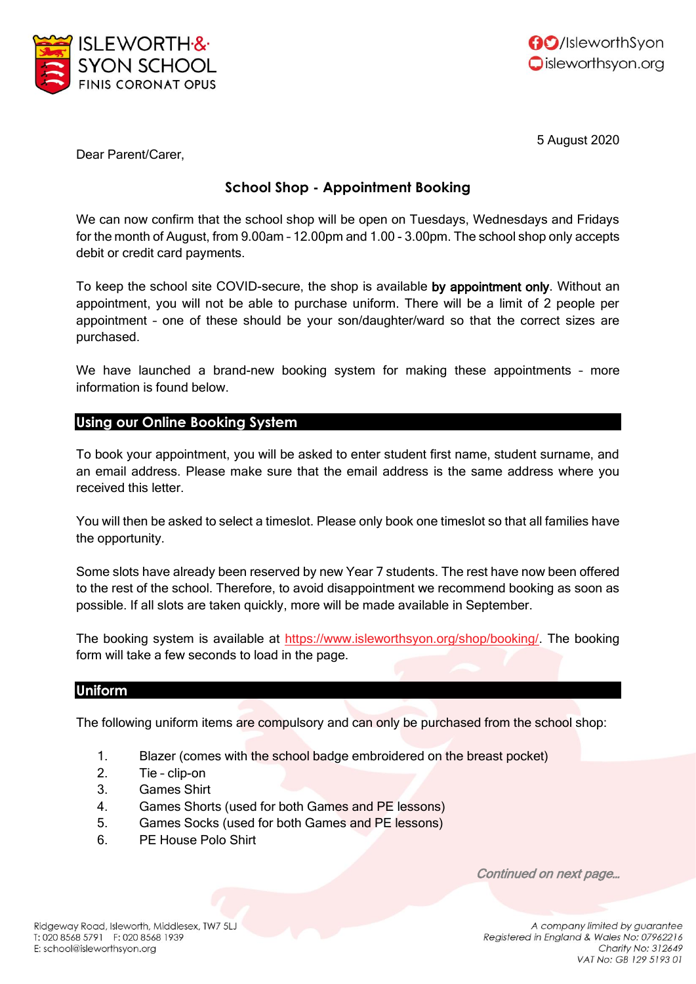



5 August 2020

Dear Parent/Carer,

## **School Shop - Appointment Booking**

We can now confirm that the school shop will be open on Tuesdays, Wednesdays and Fridays for the month of August, from 9.00am – 12.00pm and 1.00 - 3.00pm. The school shop only accepts debit or credit card payments.

To keep the school site COVID-secure, the shop is available by appointment only. Without an appointment, you will not be able to purchase uniform. There will be a limit of 2 people per appointment – one of these should be your son/daughter/ward so that the correct sizes are purchased.

We have launched a brand-new booking system for making these appointments – more information is found below.

## **Using our Online Booking System**

To book your appointment, you will be asked to enter student first name, student surname, and an email address. Please make sure that the email address is the same address where you received this letter.

You will then be asked to select a timeslot. Please only book one timeslot so that all families have the opportunity.

Some slots have already been reserved by new Year 7 students. The rest have now been offered to the rest of the school. Therefore, to avoid disappointment we recommend booking as soon as possible. If all slots are taken quickly, more will be made available in September.

The booking system is available at [https://www.isleworthsyon.org/shop/booking/.](https://www.isleworthsyon.org/shop/booking/) The booking form will take a few seconds to load in the page.

## **Uniform**

The following uniform items are compulsory and can only be purchased from the school shop:

- 1. Blazer (comes with the school badge embroidered on the breast pocket)
- 2. Tie clip-on
- 3. Games Shirt
- 4. Games Shorts (used for both Games and PE lessons)
- 5. Games Socks (used for both Games and PE lessons)
- 6. PE House Polo Shirt

Continued on next page…

Ridgeway Road, Isleworth, Middlesex, TW7 5LJ T: 020 8568 5791 F: 020 8568 1939 E: school@isleworthsyon.org

A company limited by guarantee Registered in England & Wales No: 07962216 Charity No: 312649 VAT No: GB 129 5193 01